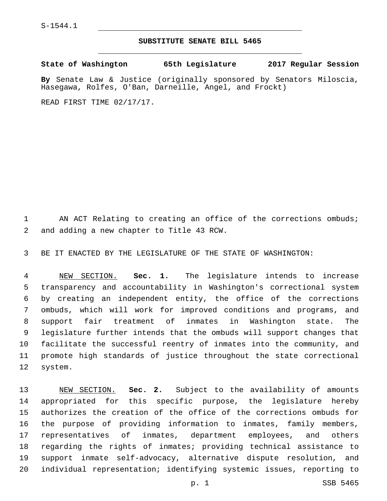## **SUBSTITUTE SENATE BILL 5465**

**State of Washington 65th Legislature 2017 Regular Session**

**By** Senate Law & Justice (originally sponsored by Senators Miloscia, Hasegawa, Rolfes, O'Ban, Darneille, Angel, and Frockt)

READ FIRST TIME 02/17/17.

1 AN ACT Relating to creating an office of the corrections ombuds; 2 and adding a new chapter to Title 43 RCW.

BE IT ENACTED BY THE LEGISLATURE OF THE STATE OF WASHINGTON:

 NEW SECTION. **Sec. 1.** The legislature intends to increase transparency and accountability in Washington's correctional system by creating an independent entity, the office of the corrections ombuds, which will work for improved conditions and programs, and support fair treatment of inmates in Washington state. The legislature further intends that the ombuds will support changes that facilitate the successful reentry of inmates into the community, and promote high standards of justice throughout the state correctional system.

 NEW SECTION. **Sec. 2.** Subject to the availability of amounts appropriated for this specific purpose, the legislature hereby authorizes the creation of the office of the corrections ombuds for the purpose of providing information to inmates, family members, representatives of inmates, department employees, and others regarding the rights of inmates; providing technical assistance to support inmate self-advocacy, alternative dispute resolution, and individual representation; identifying systemic issues, reporting to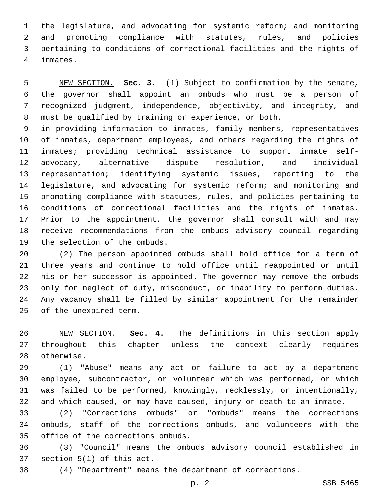the legislature, and advocating for systemic reform; and monitoring and promoting compliance with statutes, rules, and policies pertaining to conditions of correctional facilities and the rights of inmates.4

 NEW SECTION. **Sec. 3.** (1) Subject to confirmation by the senate, the governor shall appoint an ombuds who must be a person of recognized judgment, independence, objectivity, and integrity, and must be qualified by training or experience, or both,

 in providing information to inmates, family members, representatives of inmates, department employees, and others regarding the rights of inmates; providing technical assistance to support inmate self- advocacy, alternative dispute resolution, and individual representation; identifying systemic issues, reporting to the legislature, and advocating for systemic reform; and monitoring and promoting compliance with statutes, rules, and policies pertaining to conditions of correctional facilities and the rights of inmates. Prior to the appointment, the governor shall consult with and may receive recommendations from the ombuds advisory council regarding 19 the selection of the ombuds.

 (2) The person appointed ombuds shall hold office for a term of three years and continue to hold office until reappointed or until his or her successor is appointed. The governor may remove the ombuds only for neglect of duty, misconduct, or inability to perform duties. Any vacancy shall be filled by similar appointment for the remainder 25 of the unexpired term.

 NEW SECTION. **Sec. 4.** The definitions in this section apply throughout this chapter unless the context clearly requires otherwise.

 (1) "Abuse" means any act or failure to act by a department employee, subcontractor, or volunteer which was performed, or which was failed to be performed, knowingly, recklessly, or intentionally, and which caused, or may have caused, injury or death to an inmate.

 (2) "Corrections ombuds" or "ombuds" means the corrections ombuds, staff of the corrections ombuds, and volunteers with the 35 office of the corrections ombuds.

 (3) "Council" means the ombuds advisory council established in section  $5(1)$  of this act.

(4) "Department" means the department of corrections.

p. 2 SSB 5465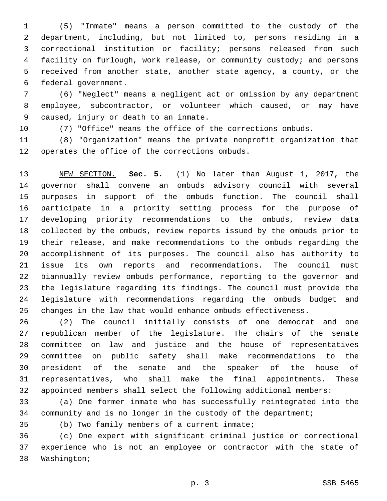(5) "Inmate" means a person committed to the custody of the department, including, but not limited to, persons residing in a correctional institution or facility; persons released from such facility on furlough, work release, or community custody; and persons received from another state, another state agency, a county, or the 6 federal government.

 (6) "Neglect" means a negligent act or omission by any department employee, subcontractor, or volunteer which caused, or may have 9 caused, injury or death to an inmate.

(7) "Office" means the office of the corrections ombuds.

 (8) "Organization" means the private nonprofit organization that 12 operates the office of the corrections ombuds.

 NEW SECTION. **Sec. 5.** (1) No later than August 1, 2017, the governor shall convene an ombuds advisory council with several purposes in support of the ombuds function. The council shall participate in a priority setting process for the purpose of developing priority recommendations to the ombuds, review data collected by the ombuds, review reports issued by the ombuds prior to their release, and make recommendations to the ombuds regarding the accomplishment of its purposes. The council also has authority to issue its own reports and recommendations. The council must biannually review ombuds performance, reporting to the governor and the legislature regarding its findings. The council must provide the legislature with recommendations regarding the ombuds budget and changes in the law that would enhance ombuds effectiveness.

 (2) The council initially consists of one democrat and one republican member of the legislature. The chairs of the senate committee on law and justice and the house of representatives committee on public safety shall make recommendations to the president of the senate and the speaker of the house of representatives, who shall make the final appointments. These appointed members shall select the following additional members:

 (a) One former inmate who has successfully reintegrated into the community and is no longer in the custody of the department;

(b) Two family members of a current inmate;

 (c) One expert with significant criminal justice or correctional experience who is not an employee or contractor with the state of 38 Washington;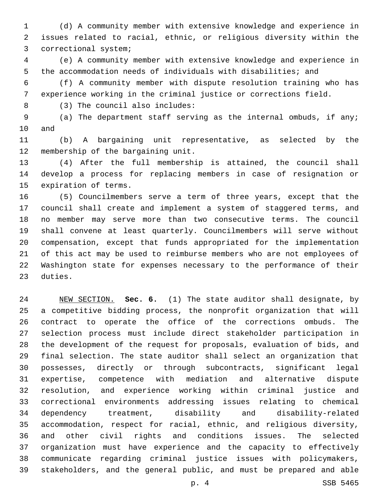(d) A community member with extensive knowledge and experience in issues related to racial, ethnic, or religious diversity within the 3 correctional system;

 (e) A community member with extensive knowledge and experience in the accommodation needs of individuals with disabilities; and

 (f) A community member with dispute resolution training who has experience working in the criminal justice or corrections field.

(3) The council also includes:8

 (a) The department staff serving as the internal ombuds, if any; 10 and

 (b) A bargaining unit representative, as selected by the 12 membership of the bargaining unit.

 (4) After the full membership is attained, the council shall develop a process for replacing members in case of resignation or 15 expiration of terms.

 (5) Councilmembers serve a term of three years, except that the council shall create and implement a system of staggered terms, and no member may serve more than two consecutive terms. The council shall convene at least quarterly. Councilmembers will serve without compensation, except that funds appropriated for the implementation of this act may be used to reimburse members who are not employees of Washington state for expenses necessary to the performance of their 23 duties.

 NEW SECTION. **Sec. 6.** (1) The state auditor shall designate, by a competitive bidding process, the nonprofit organization that will contract to operate the office of the corrections ombuds. The selection process must include direct stakeholder participation in the development of the request for proposals, evaluation of bids, and final selection. The state auditor shall select an organization that possesses, directly or through subcontracts, significant legal expertise, competence with mediation and alternative dispute resolution, and experience working within criminal justice and correctional environments addressing issues relating to chemical dependency treatment, disability and disability-related accommodation, respect for racial, ethnic, and religious diversity, and other civil rights and conditions issues. The selected organization must have experience and the capacity to effectively communicate regarding criminal justice issues with policymakers, stakeholders, and the general public, and must be prepared and able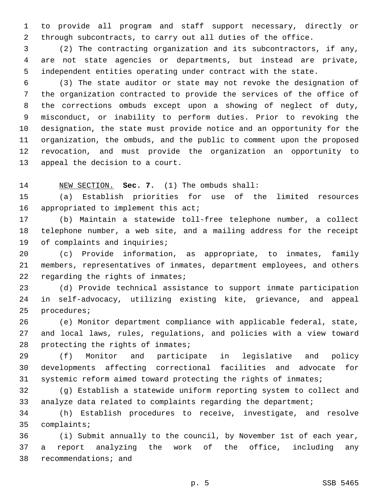to provide all program and staff support necessary, directly or through subcontracts, to carry out all duties of the office.

 (2) The contracting organization and its subcontractors, if any, are not state agencies or departments, but instead are private, independent entities operating under contract with the state.

 (3) The state auditor or state may not revoke the designation of the organization contracted to provide the services of the office of the corrections ombuds except upon a showing of neglect of duty, misconduct, or inability to perform duties. Prior to revoking the designation, the state must provide notice and an opportunity for the organization, the ombuds, and the public to comment upon the proposed revocation, and must provide the organization an opportunity to 13 appeal the decision to a court.

NEW SECTION. **Sec. 7.** (1) The ombuds shall:

 (a) Establish priorities for use of the limited resources 16 appropriated to implement this  $acti$ 

 (b) Maintain a statewide toll-free telephone number, a collect telephone number, a web site, and a mailing address for the receipt 19 of complaints and inquiries;

 (c) Provide information, as appropriate, to inmates, family members, representatives of inmates, department employees, and others 22 regarding the rights of inmates;

 (d) Provide technical assistance to support inmate participation in self-advocacy, utilizing existing kite, grievance, and appeal 25 procedures;

 (e) Monitor department compliance with applicable federal, state, and local laws, rules, regulations, and policies with a view toward 28 protecting the rights of inmates;

 (f) Monitor and participate in legislative and policy developments affecting correctional facilities and advocate for systemic reform aimed toward protecting the rights of inmates;

 (g) Establish a statewide uniform reporting system to collect and analyze data related to complaints regarding the department;

 (h) Establish procedures to receive, investigate, and resolve 35 complaints;

 (i) Submit annually to the council, by November 1st of each year, a report analyzing the work of the office, including any 38 recommendations; and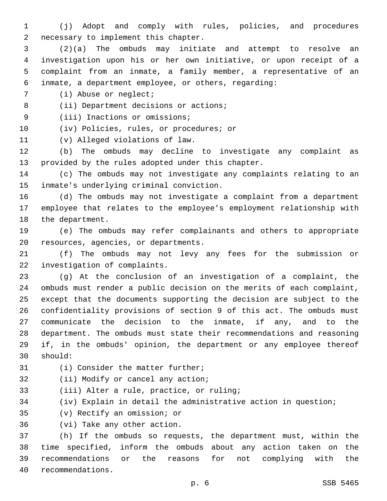1 (j) Adopt and comply with rules, policies, and procedures 2 necessary to implement this chapter.

 (2)(a) The ombuds may initiate and attempt to resolve an investigation upon his or her own initiative, or upon receipt of a complaint from an inmate, a family member, a representative of an inmate, a department employee, or others, regarding:

7 (i) Abuse or neglect;

8 (ii) Department decisions or actions;

9 (iii) Inactions or omissions;

10 (iv) Policies, rules, or procedures; or

11 (v) Alleged violations of law.

12 (b) The ombuds may decline to investigate any complaint as 13 provided by the rules adopted under this chapter.

14 (c) The ombuds may not investigate any complaints relating to an 15 inmate's underlying criminal conviction.

16 (d) The ombuds may not investigate a complaint from a department 17 employee that relates to the employee's employment relationship with 18 the department.

19 (e) The ombuds may refer complainants and others to appropriate 20 resources, agencies, or departments.

21 (f) The ombuds may not levy any fees for the submission or 22 investigation of complaints.

 (g) At the conclusion of an investigation of a complaint, the ombuds must render a public decision on the merits of each complaint, except that the documents supporting the decision are subject to the confidentiality provisions of section 9 of this act. The ombuds must communicate the decision to the inmate, if any, and to the department. The ombuds must state their recommendations and reasoning if, in the ombuds' opinion, the department or any employee thereof should:30

31 (i) Consider the matter further;

32 (ii) Modify or cancel any action;

33 (iii) Alter a rule, practice, or ruling;

34 (iv) Explain in detail the administrative action in question;

35 (v) Rectify an omission; or

36 (vi) Take any other action.

 (h) If the ombuds so requests, the department must, within the time specified, inform the ombuds about any action taken on the recommendations or the reasons for not complying with the 40 recommendations.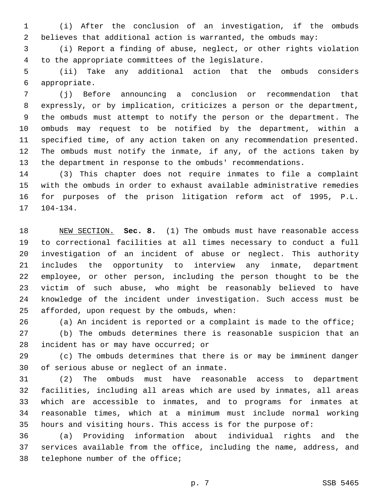(i) After the conclusion of an investigation, if the ombuds believes that additional action is warranted, the ombuds may:

 (i) Report a finding of abuse, neglect, or other rights violation 4 to the appropriate committees of the legislature.

 (ii) Take any additional action that the ombuds considers appropriate.6

 (j) Before announcing a conclusion or recommendation that expressly, or by implication, criticizes a person or the department, the ombuds must attempt to notify the person or the department. The ombuds may request to be notified by the department, within a specified time, of any action taken on any recommendation presented. The ombuds must notify the inmate, if any, of the actions taken by the department in response to the ombuds' recommendations.

 (3) This chapter does not require inmates to file a complaint with the ombuds in order to exhaust available administrative remedies for purposes of the prison litigation reform act of 1995, P.L. 104-134.

 NEW SECTION. **Sec. 8.** (1) The ombuds must have reasonable access to correctional facilities at all times necessary to conduct a full investigation of an incident of abuse or neglect. This authority includes the opportunity to interview any inmate, department employee, or other person, including the person thought to be the victim of such abuse, who might be reasonably believed to have knowledge of the incident under investigation. Such access must be afforded, upon request by the ombuds, when:

(a) An incident is reported or a complaint is made to the office;

 (b) The ombuds determines there is reasonable suspicion that an 28 incident has or may have occurred; or

 (c) The ombuds determines that there is or may be imminent danger 30 of serious abuse or neglect of an inmate.

 (2) The ombuds must have reasonable access to department facilities, including all areas which are used by inmates, all areas which are accessible to inmates, and to programs for inmates at reasonable times, which at a minimum must include normal working hours and visiting hours. This access is for the purpose of:

 (a) Providing information about individual rights and the services available from the office, including the name, address, and 38 telephone number of the office;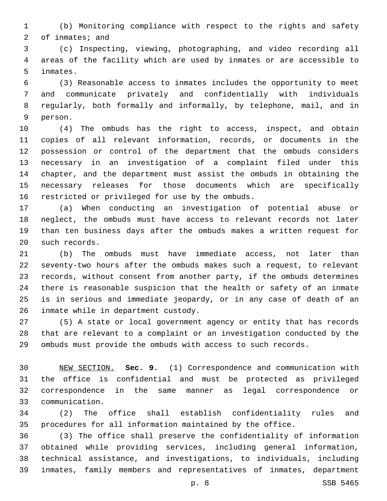(b) Monitoring compliance with respect to the rights and safety of inmates; and

 (c) Inspecting, viewing, photographing, and video recording all areas of the facility which are used by inmates or are accessible to 5 inmates.

 (3) Reasonable access to inmates includes the opportunity to meet and communicate privately and confidentially with individuals regularly, both formally and informally, by telephone, mail, and in 9 person.

 (4) The ombuds has the right to access, inspect, and obtain copies of all relevant information, records, or documents in the possession or control of the department that the ombuds considers necessary in an investigation of a complaint filed under this chapter, and the department must assist the ombuds in obtaining the necessary releases for those documents which are specifically 16 restricted or privileged for use by the ombuds.

 (a) When conducting an investigation of potential abuse or neglect, the ombuds must have access to relevant records not later than ten business days after the ombuds makes a written request for 20 such records.

 (b) The ombuds must have immediate access, not later than seventy-two hours after the ombuds makes such a request, to relevant records, without consent from another party, if the ombuds determines there is reasonable suspicion that the health or safety of an inmate is in serious and immediate jeopardy, or in any case of death of an 26 inmate while in department custody.

 (5) A state or local government agency or entity that has records that are relevant to a complaint or an investigation conducted by the ombuds must provide the ombuds with access to such records.

 NEW SECTION. **Sec. 9.** (1) Correspondence and communication with the office is confidential and must be protected as privileged correspondence in the same manner as legal correspondence or communication.

 (2) The office shall establish confidentiality rules and procedures for all information maintained by the office.

 (3) The office shall preserve the confidentiality of information obtained while providing services, including general information, technical assistance, and investigations, to individuals, including inmates, family members and representatives of inmates, department

p. 8 SSB 5465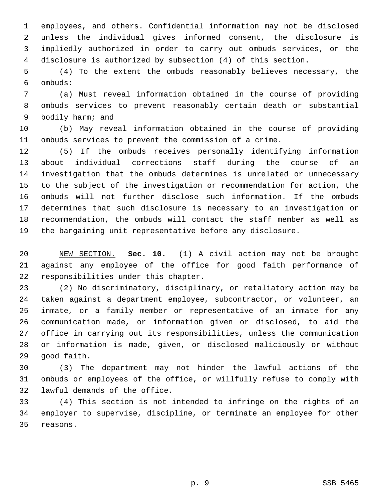employees, and others. Confidential information may not be disclosed unless the individual gives informed consent, the disclosure is impliedly authorized in order to carry out ombuds services, or the disclosure is authorized by subsection (4) of this section.

 (4) To the extent the ombuds reasonably believes necessary, the ombuds:6

 (a) Must reveal information obtained in the course of providing ombuds services to prevent reasonably certain death or substantial 9 bodily harm; and

 (b) May reveal information obtained in the course of providing ombuds services to prevent the commission of a crime.

 (5) If the ombuds receives personally identifying information about individual corrections staff during the course of an investigation that the ombuds determines is unrelated or unnecessary to the subject of the investigation or recommendation for action, the ombuds will not further disclose such information. If the ombuds determines that such disclosure is necessary to an investigation or recommendation, the ombuds will contact the staff member as well as the bargaining unit representative before any disclosure.

 NEW SECTION. **Sec. 10.** (1) A civil action may not be brought against any employee of the office for good faith performance of responsibilities under this chapter.

 (2) No discriminatory, disciplinary, or retaliatory action may be taken against a department employee, subcontractor, or volunteer, an inmate, or a family member or representative of an inmate for any communication made, or information given or disclosed, to aid the office in carrying out its responsibilities, unless the communication or information is made, given, or disclosed maliciously or without 29 qood faith.

 (3) The department may not hinder the lawful actions of the ombuds or employees of the office, or willfully refuse to comply with 32 lawful demands of the office.

 (4) This section is not intended to infringe on the rights of an employer to supervise, discipline, or terminate an employee for other 35 reasons.